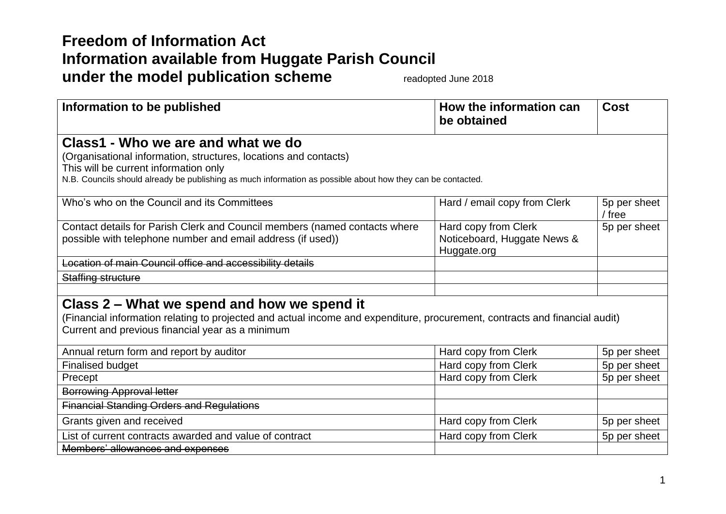## **Freedom of Information Act Information available from Huggate Parish Council under the model publication scheme** readopted June 2018

| Information to be published                                                                                                 | How the information can<br>be obtained | <b>Cost</b>            |  |
|-----------------------------------------------------------------------------------------------------------------------------|----------------------------------------|------------------------|--|
| Class1 - Who we are and what we do                                                                                          |                                        |                        |  |
| (Organisational information, structures, locations and contacts)                                                            |                                        |                        |  |
| This will be current information only                                                                                       |                                        |                        |  |
| N.B. Councils should already be publishing as much information as possible about how they can be contacted.                 |                                        |                        |  |
| Who's who on the Council and its Committees                                                                                 | Hard / email copy from Clerk           | 5p per sheet<br>/ free |  |
| Contact details for Parish Clerk and Council members (named contacts where                                                  | Hard copy from Clerk                   | 5p per sheet           |  |
| possible with telephone number and email address (if used))                                                                 | Noticeboard, Huggate News &            |                        |  |
|                                                                                                                             | Huggate.org                            |                        |  |
| Location of main Council office and accessibility details                                                                   |                                        |                        |  |
| Staffing structure                                                                                                          |                                        |                        |  |
|                                                                                                                             |                                        |                        |  |
| Class 2 – What we spend and how we spend it                                                                                 |                                        |                        |  |
| (Financial information relating to projected and actual income and expenditure, procurement, contracts and financial audit) |                                        |                        |  |
| Current and previous financial year as a minimum                                                                            |                                        |                        |  |
| Annual return form and report by auditor                                                                                    | Hard copy from Clerk                   | 5p per sheet           |  |
| <b>Finalised budget</b>                                                                                                     | Hard copy from Clerk                   | 5p per sheet           |  |
| Precept                                                                                                                     | Hard copy from Clerk                   | 5p per sheet           |  |
| <b>Borrowing Approval letter</b>                                                                                            |                                        |                        |  |
| <b>Financial Standing Orders and Regulations</b>                                                                            |                                        |                        |  |
| Grants given and received                                                                                                   | Hard copy from Clerk                   | 5p per sheet           |  |
| List of current contracts awarded and value of contract                                                                     | Hard copy from Clerk                   | 5p per sheet           |  |
| Members' allowances and expenses                                                                                            |                                        |                        |  |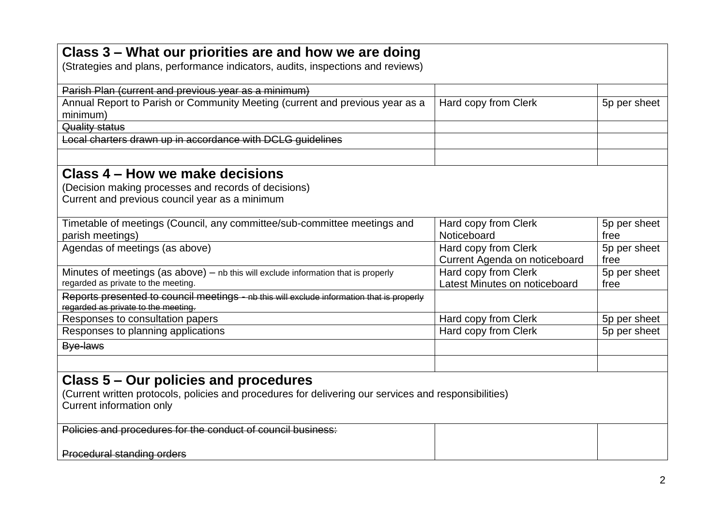| Class 3 – What our priorities are and how we are doing                                                                            |                                                       |                      |
|-----------------------------------------------------------------------------------------------------------------------------------|-------------------------------------------------------|----------------------|
| (Strategies and plans, performance indicators, audits, inspections and reviews)                                                   |                                                       |                      |
| Parish Plan (current and previous year as a minimum)                                                                              |                                                       |                      |
| Annual Report to Parish or Community Meeting (current and previous year as a                                                      | Hard copy from Clerk                                  | 5p per sheet         |
| minimum)                                                                                                                          |                                                       |                      |
| Quality status                                                                                                                    |                                                       |                      |
| Local charters drawn up in accordance with DCLG guidelines                                                                        |                                                       |                      |
| Class 4 – How we make decisions                                                                                                   |                                                       |                      |
| (Decision making processes and records of decisions)<br>Current and previous council year as a minimum                            |                                                       |                      |
|                                                                                                                                   |                                                       |                      |
| Timetable of meetings (Council, any committee/sub-committee meetings and                                                          | Hard copy from Clerk                                  | 5p per sheet         |
| parish meetings)                                                                                                                  | Noticeboard                                           | free                 |
| Agendas of meetings (as above)                                                                                                    | Hard copy from Clerk                                  | 5p per sheet<br>free |
| Minutes of meetings (as above) - nb this will exclude information that is properly                                                | Current Agenda on noticeboard<br>Hard copy from Clerk | 5p per sheet         |
| regarded as private to the meeting.                                                                                               | Latest Minutes on noticeboard                         | free                 |
| Reports presented to council meetings - nb this will exclude information that is properly<br>regarded as private to the meeting.  |                                                       |                      |
| Responses to consultation papers                                                                                                  | Hard copy from Clerk                                  | 5p per sheet         |
| Responses to planning applications                                                                                                | Hard copy from Clerk                                  | 5p per sheet         |
| Bye-laws                                                                                                                          |                                                       |                      |
|                                                                                                                                   |                                                       |                      |
| Class 5 – Our policies and procedures                                                                                             |                                                       |                      |
| (Current written protocols, policies and procedures for delivering our services and responsibilities)<br>Current information only |                                                       |                      |
| Policies and procedures for the conduct of council business:                                                                      |                                                       |                      |
|                                                                                                                                   |                                                       |                      |
| Procedural standing orders                                                                                                        |                                                       |                      |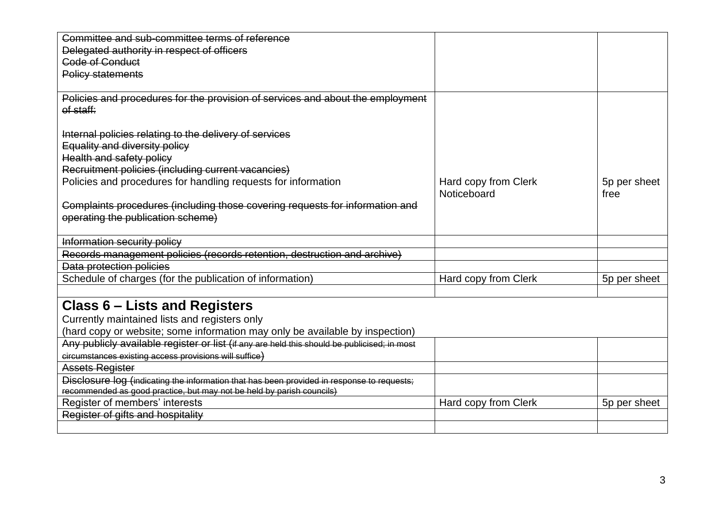| Committee and sub-committee terms of reference                                              |                      |              |
|---------------------------------------------------------------------------------------------|----------------------|--------------|
| Delegated authority in respect of officers                                                  |                      |              |
| <b>Code of Conduct</b>                                                                      |                      |              |
| <b>Policy statements</b>                                                                    |                      |              |
|                                                                                             |                      |              |
| Policies and procedures for the provision of services and about the employment              |                      |              |
| of staff:                                                                                   |                      |              |
|                                                                                             |                      |              |
| Internal policies relating to the delivery of services                                      |                      |              |
| Equality and diversity policy                                                               |                      |              |
| <b>Health and safety policy</b>                                                             |                      |              |
| Recruitment policies (including current vacancies)                                          |                      |              |
| Policies and procedures for handling requests for information                               | Hard copy from Clerk | 5p per sheet |
|                                                                                             | Noticeboard          | free         |
| Complaints procedures (including those covering requests for information and                |                      |              |
| operating the publication scheme)                                                           |                      |              |
|                                                                                             |                      |              |
| Information security policy                                                                 |                      |              |
| Records management policies (records retention, destruction and archive)                    |                      |              |
| Data protection policies                                                                    |                      |              |
| Schedule of charges (for the publication of information)                                    | Hard copy from Clerk | 5p per sheet |
|                                                                                             |                      |              |
| <b>Class 6 – Lists and Registers</b>                                                        |                      |              |
| Currently maintained lists and registers only                                               |                      |              |
| (hard copy or website; some information may only be available by inspection)                |                      |              |
| Any publicly available register or list (if any are held this should be publicised; in most |                      |              |
| circumstances existing access provisions will suffice)                                      |                      |              |
| <b>Assets Register</b>                                                                      |                      |              |
| Disclosure log (indicating the information that has been provided in response to requests;  |                      |              |
| recommended as good practice, but may not be held by parish councils)                       |                      |              |
| Register of members' interests                                                              | Hard copy from Clerk | 5p per sheet |
| Register of gifts and hospitality                                                           |                      |              |
|                                                                                             |                      |              |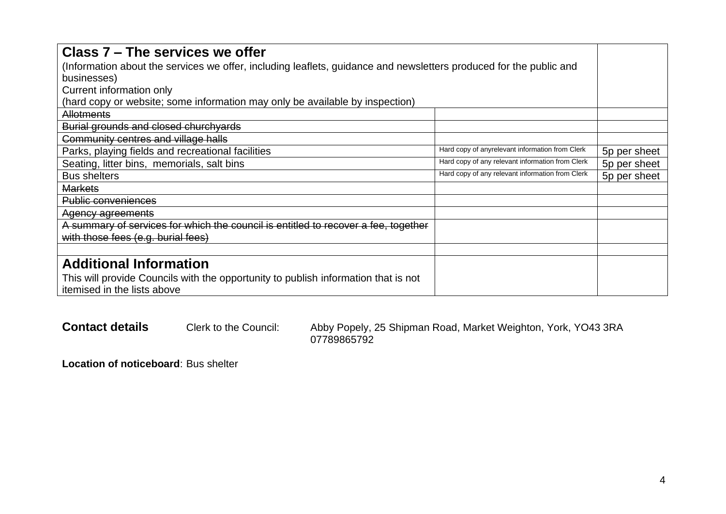| Class 7 – The services we offer                                                                                    |                                                  |              |
|--------------------------------------------------------------------------------------------------------------------|--------------------------------------------------|--------------|
| (Information about the services we offer, including leaflets, guidance and newsletters produced for the public and |                                                  |              |
| businesses)                                                                                                        |                                                  |              |
| Current information only                                                                                           |                                                  |              |
| (hard copy or website; some information may only be available by inspection)                                       |                                                  |              |
| <b>Allotments</b>                                                                                                  |                                                  |              |
| Burial grounds and closed churchyards                                                                              |                                                  |              |
| Community centres and village halls                                                                                |                                                  |              |
| Parks, playing fields and recreational facilities                                                                  | Hard copy of anyrelevant information from Clerk  | 5p per sheet |
| Seating, litter bins, memorials, salt bins                                                                         | Hard copy of any relevant information from Clerk | 5p per sheet |
| <b>Bus shelters</b>                                                                                                | Hard copy of any relevant information from Clerk | 5p per sheet |
| <b>Markets</b>                                                                                                     |                                                  |              |
| <b>Public conveniences</b>                                                                                         |                                                  |              |
| Agency agreements                                                                                                  |                                                  |              |
| A summary of services for which the council is entitled to recover a fee, together                                 |                                                  |              |
| with those fees (e.g. burial fees)                                                                                 |                                                  |              |
|                                                                                                                    |                                                  |              |
| <b>Additional Information</b>                                                                                      |                                                  |              |
| This will provide Councils with the opportunity to publish information that is not                                 |                                                  |              |
| itemised in the lists above                                                                                        |                                                  |              |

Contact details Clerk to the Council: Abby Popely, 25 Shipman Road, Market Weighton, York, YO43 3RA 07789865792

**Location of noticeboard**: Bus shelter